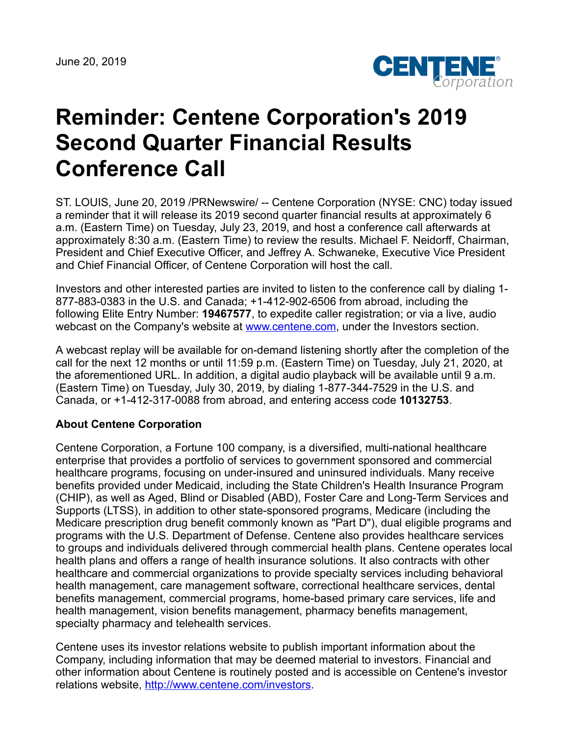

## **Reminder: Centene Corporation's 2019 Second Quarter Financial Results Conference Call**

ST. LOUIS, June 20, 2019 /PRNewswire/ -- Centene Corporation (NYSE: CNC) today issued a reminder that it will release its 2019 second quarter financial results at approximately 6 a.m. (Eastern Time) on Tuesday, July 23, 2019, and host a conference call afterwards at approximately 8:30 a.m. (Eastern Time) to review the results. Michael F. Neidorff, Chairman, President and Chief Executive Officer, and Jeffrey A. Schwaneke, Executive Vice President and Chief Financial Officer, of Centene Corporation will host the call.

Investors and other interested parties are invited to listen to the conference call by dialing 1- 877-883-0383 in the U.S. and Canada; +1-412-902-6506 from abroad, including the following Elite Entry Number: **19467577**, to expedite caller registration; or via a live, audio webcast on the Company's website at [www.centene.com,](http://www.centene.com/) under the Investors section.

A webcast replay will be available for on-demand listening shortly after the completion of the call for the next 12 months or until 11:59 p.m. (Eastern Time) on Tuesday, July 21, 2020, at the aforementioned URL. In addition, a digital audio playback will be available until 9 a.m. (Eastern Time) on Tuesday, July 30, 2019, by dialing 1-877-344-7529 in the U.S. and Canada, or +1-412-317-0088 from abroad, and entering access code **10132753**.

## **About Centene Corporation**

Centene Corporation, a Fortune 100 company, is a diversified, multi-national healthcare enterprise that provides a portfolio of services to government sponsored and commercial healthcare programs, focusing on under-insured and uninsured individuals. Many receive benefits provided under Medicaid, including the State Children's Health Insurance Program (CHIP), as well as Aged, Blind or Disabled (ABD), Foster Care and Long-Term Services and Supports (LTSS), in addition to other state-sponsored programs, Medicare (including the Medicare prescription drug benefit commonly known as "Part D"), dual eligible programs and programs with the U.S. Department of Defense. Centene also provides healthcare services to groups and individuals delivered through commercial health plans. Centene operates local health plans and offers a range of health insurance solutions. It also contracts with other healthcare and commercial organizations to provide specialty services including behavioral health management, care management software, correctional healthcare services, dental benefits management, commercial programs, home-based primary care services, life and health management, vision benefits management, pharmacy benefits management, specialty pharmacy and telehealth services.

Centene uses its investor relations website to publish important information about the Company, including information that may be deemed material to investors. Financial and other information about Centene is routinely posted and is accessible on Centene's investor relations website, <http://www.centene.com/investors>.